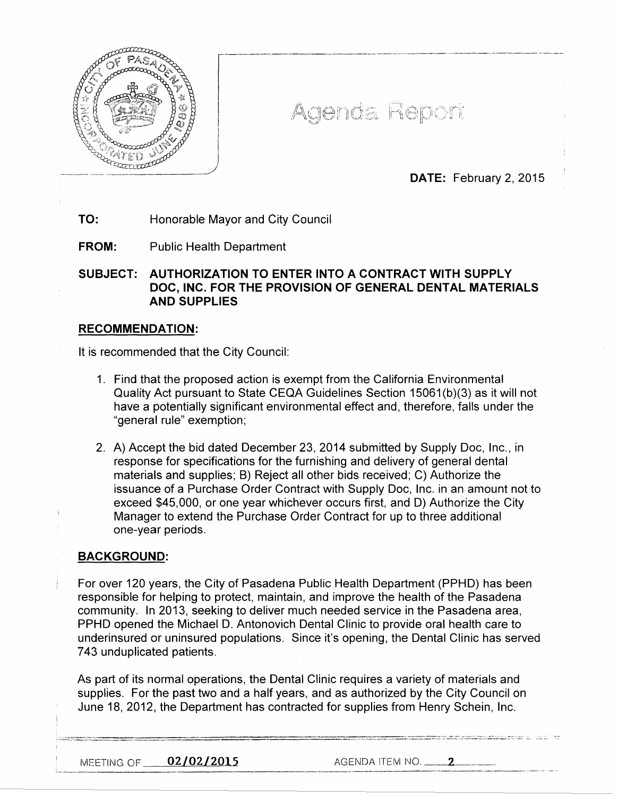

# Agenda Report

r--------------------------------------------

DATE: February 2, 2015

# TO: Honorable Mayor and City Council

 $\overline{\phantom{a}}$ 

I I I  $\vert$ )

FROM: Public Health Department

SUBJECT: AUTHORIZATION TO ENTER INTO A CONTRACT WITH SUPPLY DOC, INC. FOR THE PROVISION OF GENERAL DENTAL MATERIALS AND SUPPLIES

#### RECOMMENDATION:

It is recommended that the City Council:

- 1. Find that the proposed action is exempt from the California Environmental Quality Act pursuant to State CEQA Guidelines Section 15061 (b)(3) as it will not have a potentially significant environmental effect and, therefore, falls under the "general rule" exemption;
- 2. A) Accept the bid dated December 23, 2014 submitted by Supply Doc, Inc., in response for specifications for the furnishing and delivery of general dental materials and supplies; B) Reject all other bids received; C) Authorize the issuance of a Purchase Order Contract with Supply Doc, Inc. in an amount not to exceed \$45,000, or one year whichever occurs first, and D) Authorize the City Manager to extend the Purchase Order Contract for up to three additional one-year periods.

#### BACKGROUND:

For over 120 years, the City of Pasadena Public Health Department (PPHD) has been responsible for helping to protect, maintain, and improve the health of the Pasadena community. In 2013, seeking to deliver much needed service in the Pasadena area, PPHD opened the Michael D. Antonovich Dental Clinic to provide oral health care to underinsured or uninsured populations. Since it's opening, the Dental Clinic has served 7 43 unduplicated patients.

As part of its normal operations, the Dental Clinic requires a variety of materials and supplies. For the past two and a half years, and as authorized by the City Council on June 18, 2012, the Department has contracted for supplies from Henry Schein, Inc.

MEETING OF  $0.2/0.2/2.015$  AGENDA ITEM NO.  $-2.2$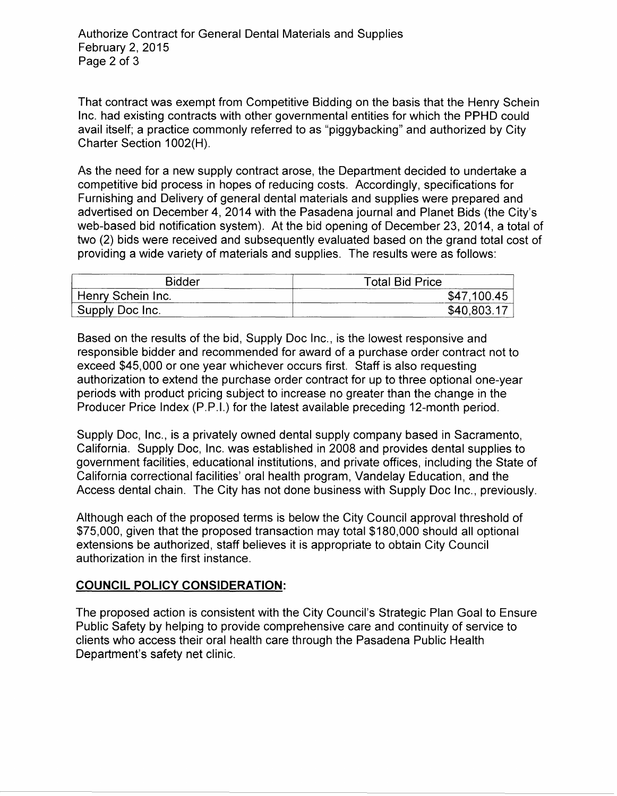That contract was exempt from Competitive Bidding on the basis that the Henry Schein Inc. had existing contracts with other governmental entities for which the PPHD could avail itself; a practice commonly referred to as "piggybacking" and authorized by City Charter Section 1002(H).

As the need for a new supply contract arose, the Department decided to undertake a competitive bid process in hopes of reducing costs. Accordingly, specifications for Furnishing and Delivery of general dental materials and supplies were prepared and advertised on December 4, 2014 with the Pasadena journal and Planet Bids (the City's web-based bid notification system). At the bid opening of December 23, 2014, a total of two (2) bids were received and subsequently evaluated based on the grand total cost of providing a wide variety of materials and supplies. The results were as follows:

| <b>Bidder</b>     | <b>Total Bid Price</b> |
|-------------------|------------------------|
| Henry Schein Inc. | \$47,100.45            |
| Supply Doc Inc.   | \$40,803.17            |

Based on the results of the bid, Supply Doc Inc., is the lowest responsive and responsible bidder and recommended for award of a purchase order contract not to exceed \$45,000 or one year whichever occurs first. Staff is also requesting authorization to extend the purchase order contract for up to three optional one-year periods with product pricing subject to increase no greater than the change in the Producer Price Index (P.P.I.) for the latest available preceding 12-month period.

Supply Doc, Inc., is a privately owned dental supply company based in Sacramento, California. Supply Doc, Inc. was established in 2008 and provides dental supplies to government facilities, educational institutions, and private offices, including the State of California correctional facilities' oral health program, Vandelay Education, and the Access dental chain. The City has not done business with Supply Doc Inc., previously.

Although each of the proposed terms is below the City Council approval threshold of \$75,000, given that the proposed transaction may total \$180,000 should all optional extensions be authorized, staff believes it is appropriate to obtain City Council authorization in the first instance.

## **COUNCIL POLICY CONSIDERATION:**

The proposed action is consistent with the City Council's Strategic Plan Goal to Ensure Public Safety by helping to provide comprehensive care and continuity of service to clients who access their oral health care through the Pasadena Public Health Department's safety net clinic.